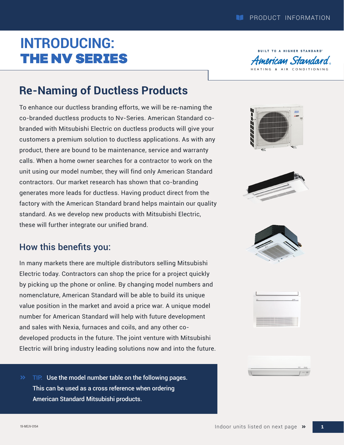## **INTRODUCING:** THE NV SERIES



## **Re-Naming of Ductless Products**

To enhance our ductless branding efforts, we will be re-naming the co-branded ductless products to Nv-Series. American Standard cobranded with Mitsubishi Electric on ductless products will give your customers a premium solution to ductless applications. As with any product, there are bound to be maintenance, service and warranty calls. When a home owner searches for a contractor to work on the unit using our model number, they will find only American Standard contractors. Our market research has shown that co-branding generates more leads for ductless. Having product direct from the factory with the American Standard brand helps maintain our quality standard. As we develop new products with Mitsubishi Electric, these will further integrate our unified brand.

## How this benefits you:

In many markets there are multiple distributors selling Mitsubishi Electric today. Contractors can shop the price for a project quickly by picking up the phone or online. By changing model numbers and nomenclature, American Standard will be able to build its unique value position in the market and avoid a price war. A unique model number for American Standard will help with future development and sales with Nexia, furnaces and coils, and any other codeveloped products in the future. The joint venture with Mitsubishi Electric will bring industry leading solutions now and into the future.

**TIP:** Use the model number table on the following pages. This can be used as a cross reference when ordering American Standard Mitsubishi products.











**1**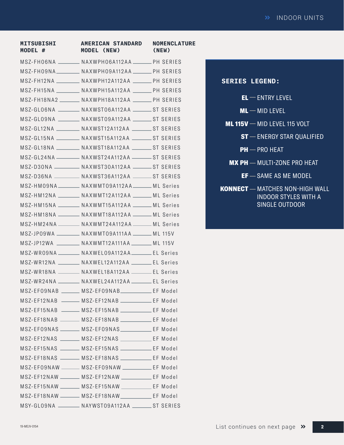| <b>MITSUBISHI</b><br>MODEL # | <b>AMERICAN STANDARD</b><br><b>MODEL (NEW)</b>          | <b>NOMENCLATURE</b><br>(NEW) |
|------------------------------|---------------------------------------------------------|------------------------------|
|                              | MSZ-FHO6NA _______ NAXWPHO6A112AA ______ PH SERIES      |                              |
|                              | MSZ-FHO9NA__________ NAXWPHO9A112AA _______ PH SERIES   |                              |
|                              | MSZ-FH12NA _________ NAXWPH12A112AA _______ PH SERIES   |                              |
|                              | MSZ-FH15NA _________ NAXWPH15A112AA _______ PH SERIES   |                              |
|                              | MSZ-FH18NA2 _______ NAXWPH18A112AA ______ PH SERIES     |                              |
|                              | MSZ-GLO6NA ________ NAXWSTO6A112AA ________ ST SERIES   |                              |
|                              | MSZ-GLO9NA _________ NAXWSTO9A112AA ________ ST SERIES  |                              |
|                              | MSZ-GL12NA _________ NAXWST12A112AA ________ ST SERIES  |                              |
|                              | MSZ-GL15NA _________ NAXWST15A112AA ________ ST SERIES  |                              |
|                              | MSZ-GL18NA _________ NAXWST18A112AA ________ ST SERIES  |                              |
|                              | MSZ-GL24NA _________ NAXWST24A112AA _________ ST SERIES |                              |
|                              | MSZ-D30NA __________ NAXWST30A112AA ________ ST SERIES  |                              |
|                              | MSZ-D36NA _________ NAXWST36A112AA _______ ST SERIES    |                              |
|                              | MSZ-HMO9NA _______ NAXWMT09A112AA ______ ML Series      |                              |
|                              | MSZ-HM12NA ________ NAXWMT12A112AA ______ ML Series     |                              |
|                              | MSZ-HM15NA ________ NAXWMT15A112AA ______ ML Series     |                              |
|                              | MSZ-HM18NA ________ NAXWMT18A112AA ______ ML Series     |                              |
|                              | MSZ-HM24NA ________ NAXWMT24A112AA ______ ML Series     |                              |
|                              | MSZ-JP09WA _________ NAXWMT09A111AA _______ ML 115V     |                              |
|                              | MSZ-JP12WA __________ NAXWMT12A111AA ________ ML 115V   |                              |
|                              | MSZ-WRO9NA ________ NAXWELO9A112AA ______ EL Series     |                              |
|                              | MSZ-WR12NA ________ NAXWEL12A112AA _______ EL Series    |                              |
|                              | MSZ-WR18NA ________ NAXWEL18A112AA _______ EL Series    |                              |
|                              | MSZ-WR24NA ________ NAXWEL24A112AA _______ EL Series    |                              |
|                              | MSZ-EF09NAB _______ MSZ-EF09NAB___________ EF Model     |                              |
|                              | MSZ-EF12NAB ______ MSZ-EF12NAB __________ EF Model      |                              |
|                              | MSZ-EF15NAB - MSZ-EF15NAB - EF Model                    |                              |
|                              | MSZ-EF18NAB _______ MSZ-EF18NAB ___________ EF Model    |                              |
|                              | MSZ-EFO9NAS _______ MSZ-EFO9NAS __________ EF Model     |                              |
|                              | MSZ-EF12NAS _______ MSZ-EF12NAS ___________ EF Model    |                              |
|                              | MSZ-EF15NAS _______ MSZ-EF15NAS ___________ EF Model    |                              |
|                              | MSZ-EF18NAS _______ MSZ-EF18NAS ___________ EF Model    |                              |
|                              | MSZ-EFO9NAW _______ MSZ-EFO9NAW __________ EF Model     |                              |
|                              | MSZ-EF12NAW ________ MSZ-EF12NAW ____________ EF Model  |                              |
|                              | MSZ-EF15NAW ________ MSZ-EF15NAW _____________ EF Model |                              |
|                              | MSZ-EF18NAW _______ MSZ-EF18NAW __________ EF Model     |                              |
|                              | MSY-GLO9NA ________ NAYWSTO9A112AA _______ST SERIES     |                              |

| <b>SERIES LEGEND:</b> |                                                                                  |
|-----------------------|----------------------------------------------------------------------------------|
|                       | $\mathsf{EL}$ $-$ entry level                                                    |
|                       | $ML$ — MID LEVEL                                                                 |
|                       | <b>ML 115V</b> $-$ MID LEVEL 115 VOLT                                            |
|                       | $ST - ENERGY STAR QUALIFIED$                                                     |
|                       | $PH - PRO HEAT$                                                                  |
|                       | $MX PH$ - MULTI-ZONE PRO HEAT                                                    |
|                       | $EF - SAME AS ME MODEL$                                                          |
|                       | <b>KONNECT</b> - MATCHES NON-HIGH WALL<br>INDOOR STYLES WITH A<br>SINGLE OUTDOOR |

**2**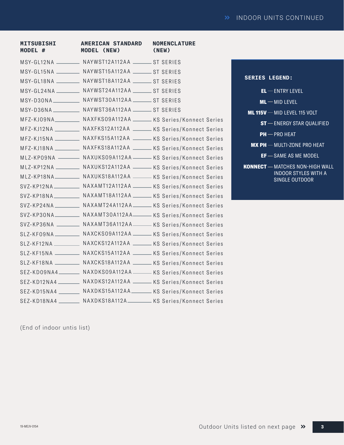| <b>MITSUBISHI</b><br>MODEL # | <b>AMERICAN STANDARD</b><br><b>MODEL (NEW)</b>           | <b>NOMENCLATURE</b><br>(NEW)                                         |
|------------------------------|----------------------------------------------------------|----------------------------------------------------------------------|
|                              | MSY-GL12NA __________ NAYWST12A112AA ________ ST SERIES  |                                                                      |
|                              | MSY-GL15NA ___________ NAYWST15A112AA ________ ST SERIES |                                                                      |
|                              | MSY-GL18NA __________ NAYWST18A112AA _______ ST SERIES   |                                                                      |
|                              | MSY-GL24NA __________ NAYWST24A112AA ________ ST SERIES  |                                                                      |
|                              | MSY-D30NA NAYWST30A112AA ST SERIES                       |                                                                      |
|                              | MSY-D36NA ____________ NAYWST36A112AA ________ ST SERIES |                                                                      |
|                              |                                                          | MFZ-KJO9NA__________ NAXFKSO9A112AA ______ KS Series/Konnect Series  |
|                              |                                                          | MFZ-KJ12NA _________ NAXFKS12A112AA ______ KS Series/Konnect Series  |
|                              |                                                          | MFZ-KJ15NA __________ NAXFKS15A112AA _____ KS Series/Konnect Series  |
|                              |                                                          | MFZ-KJ18NA __________ NAXFKS18A112AA _____ KS Series/Konnect Series  |
|                              |                                                          | MLZ-KPO9NA _______ NAXUKSO9A112AA _____ KS Series/Konnect Series     |
|                              |                                                          | MLZ-KP12NA __________ NAXUKS12A112AA _____ KS Series/Konnect Series  |
|                              |                                                          | MLZ-KP18NA__________ NAXUKS18A112AA _____ KS Series/Konnect Series   |
|                              |                                                          | SVZ-KP12NA __________ NAXAMT12A112AA _____ KS Series/Konnect Series  |
|                              |                                                          | SVZ-KP18NA __________ NAXAMT18A112AA ______ KS Series/Konnect Series |
|                              |                                                          | SVZ-KP24NA __________ NAXAMT24A112AA ______ KS Series/Konnect Series |
|                              |                                                          | SVZ-KP30NA__________ NAXAMT30A112AA_____ KS Series/Konnect Series    |
|                              |                                                          | SVZ-KP36NA _________ NAXAMT36A112AA_____ KS Series/Konnect Series    |
|                              |                                                          | SLZ-KFO9NA __________ NAXCKSO9A112AA _____ KS Series/Konnect Series  |
|                              |                                                          | SLZ-KF12NA __________ NAXCKS12A112AA _____ KS Series/Konnect Series  |
|                              |                                                          | SLZ-KF15NA __________ NAXCKS15A112AA ______ KS Series/Konnect Series |
|                              |                                                          | SLZ-KF18NA __________ NAXCKS18A112AA ______ KS Series/Konnect Series |
|                              |                                                          | SEZ-KDO9NA4________ NAXDKSO9A112AA_____ KS Series/Konnect Series     |
|                              |                                                          | SEZ-KD12NA4 ________ NAXDKS12A112AA _____ KS Series/Konnect Series   |
|                              |                                                          | SEZ-KD15NA4 ________ NAXDKS15A112AA______ KS Series/Konnect Series   |
|                              |                                                          | SEZ-KD18NA4 ________ NAXDKS18A112A _______ KS Series/Konnect Series  |

**SERIES LEGEND:**

 $EL$  – ENTRY LEVEL

- $ML$   $-$  MID LEVEL
- **ML 115V** MID LEVEL 115 VOLT
	- $\operatorname{\textsf{ST}}$   $-$  ENERGY STAR QUALIFIED

 $PH$  — PRO HEAT

- $\textsf{MX PH} \mathbin{\rightarrow} \textsf{MULTI-ZONE}$  PRO HEAT
	- EF SAME AS ME MODEL
- KONNECT MATCHES NON-HIGH WALL INDOOR STYLES WITH A SINGLE OUTDOOR

(End of indoor untis list)

**3**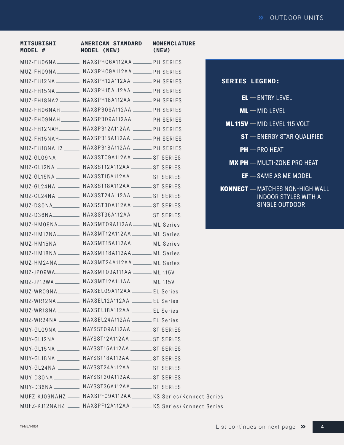| <b>MITSUBISHI</b><br>MODEL # | <b>AMERICAN STANDARD</b><br><b>MODEL (NEW)</b>                    | <b>NOMENCLATURE</b><br>(NEW) |   |
|------------------------------|-------------------------------------------------------------------|------------------------------|---|
|                              | MUZ-FHO6NA __________ NAXSPHO6A112AA _______ PH SERIES            |                              |   |
|                              | MUZ-FHO9NA NAXSPHO9A112AA NA SERIES                               |                              |   |
|                              | MUZ-FH12NA __________ NAXSPH12A112AA _______ PH SERIES            |                              | Ś |
|                              | MUZ-FH15NA __________ NAXSPH15A112AA _______ PH SERIES            |                              |   |
|                              | MUZ-FH18NA2 ________ NAXSPH18A112AA ______ PH SERIES              |                              |   |
|                              | MUZ-FHO6NAH________ NAXSPBO6A112AA _______ PH SERIES              |                              |   |
|                              | MUZ-FHO9NAH________ NAXSPBO9A112AA _______ PH SERIES              |                              |   |
|                              | MUZ-FH12NAH________ NAXSPB12A112AA _______ PH SERIES              |                              |   |
|                              | MUZ-FH15NAH- NAXSPB15A112AA - PH SERIES                           |                              |   |
|                              | MUZ-FH18NAH2 ______ NAXSPB18A112AA ______ PH SERIES               |                              |   |
|                              | MUZ-GLO9NA __________ NAXSSTO9A112AA ________ ST SERIES           |                              |   |
|                              | MUZ-GL12NA __________ NAXSST12A112AA _________ ST SERIES          |                              |   |
|                              | MUZ-GL15NA __________ NAXSST15A112AA _________ ST SERIES          |                              |   |
|                              | MUZ-GL24NA _________ NAXSST18A112AA _________ ST SERIES           |                              | K |
|                              | MUZ-GL24NA _________ NAXSST24A112AA ________ ST SERIES            |                              |   |
|                              |                                                                   |                              |   |
|                              | MUZ-D36NA NAXSST36A112AA ST SERIES                                |                              |   |
|                              | MUZ-HMO9NA _________ NAXSMTO9A112AA ______ ML Series              |                              |   |
|                              | MUZ-HM12NA __________ NAXSMT12A112AA _______ ML Series            |                              |   |
|                              | MUZ-HM15NA NAXSMT15A112AA ML Series                               |                              |   |
|                              | MUZ-HM18NA _________ NAXSMT18A112AA _______ ML Series             |                              |   |
|                              | MUZ-HM24NA ________ NAXSMT24A112AA ______ ML Series               |                              |   |
|                              | MUZ-JP09WA____________ NAXSMT09A111AA _______ ML 115V             |                              |   |
|                              | MUZ-JP12WA ____________ NAXSMT12A111AA ________ ML 115V           |                              |   |
|                              | MUZ-WRO9NA __________ NAXSELO9A112AA ________ EL Series           |                              |   |
|                              | MUZ-WR12NA NAXSEL12A112AA ______ EL Series                        |                              |   |
|                              | MUZ-WR18NA _________ NAXSEL18A112AA _______ EL Series             |                              |   |
|                              | MUZ-WR24NA ________ NAXSEL24A112AA ______ EL Series               |                              |   |
|                              | MUY-GLO9NA _________ NAYSSTO9A112AA ________ ST SERIES            |                              |   |
|                              | MUY-GL12NA _________ NAYSST12A112AA ________ ST SERIES            |                              |   |
|                              | MUY-GL15NA __________ NAYSST15A112AA ________ ST SERIES           |                              |   |
|                              | MUY-GL18NA _________ NAYSST18A112AA ________ ST SERIES            |                              |   |
|                              | MUY-GL24NA _________ NAYSST24A112AA _________ ST SERIES           |                              |   |
|                              | MUY-D30NA __________ NAYSST30A112AA_________ ST SERIES            |                              |   |
|                              | MUY-D36NA ___________ NAYSST36A112AA ________ ST SERIES           |                              |   |
|                              | MUFZ-KJO9NAHZ ____ NAXSPFO9A112AA ______ KS Series/Konnect Series |                              |   |
|                              | MUFZ-KJ12NAHZ ____ NAXSPF12A112AA ______ KS Series/Konnect Series |                              |   |

| <b>SERIES LEGEND:</b> |                                                                                         |
|-----------------------|-----------------------------------------------------------------------------------------|
|                       | $EL$ $ ENTRY$ $LEVEL$                                                                   |
|                       | $ML$ $-$ MID LEVEL                                                                      |
|                       | $ML$ 115V $-$ MID LEVEL 115 VOLT                                                        |
|                       | $ST$ $-$ ENERGY STAR OUALIFIED                                                          |
|                       | $PH - PRO HEAT$                                                                         |
|                       | $MX PH$ - MULTI-ZONE PRO HEAT                                                           |
|                       | $EF - SAME AS ME MODEL$                                                                 |
|                       | <b>KONNECT</b> - MATCHES NON-HIGH WALL<br>INDOOR STYLES WITH A<br><b>SINGLE OUTDOOR</b> |